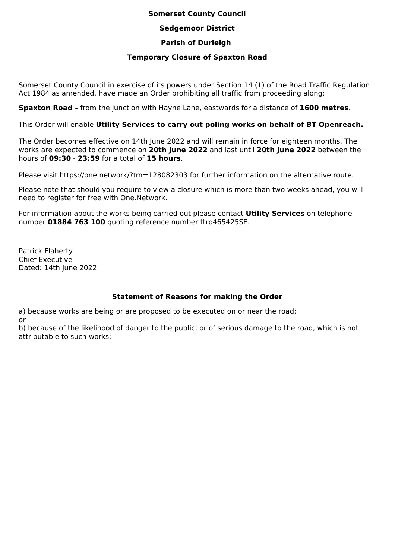### **Somerset County Council**

### **Sedgemoor District**

# **Parish of Durleigh**

## **Temporary Closure of Spaxton Road**

Somerset County Council in exercise of its powers under Section 14 (1) of the Road Traffic Regulation Act 1984 as amended, have made an Order prohibiting all traffic from proceeding along;

**Spaxton Road -** from the junction with Hayne Lane, eastwards for a distance of **1600 metres**.

This Order will enable **Utility Services to carry out poling works on behalf of BT Openreach.**

The Order becomes effective on 14th June 2022 and will remain in force for eighteen months. The works are expected to commence on **20th June 2022** and last until **20th June 2022** between the hours of **09:30** - **23:59** for a total of **15 hours**.

Please visit https://one.network/?tm=128082303 for further information on the alternative route.

Please note that should you require to view a closure which is more than two weeks ahead, you will need to register for free with One.Network.

For information about the works being carried out please contact **Utility Services** on telephone number **01884 763 100** quoting reference number ttro465425SE.

Patrick Flaherty Chief Executive Dated: 14th June 2022

# **Statement of Reasons for making the Order**

.

a) because works are being or are proposed to be executed on or near the road; or

b) because of the likelihood of danger to the public, or of serious damage to the road, which is not attributable to such works;